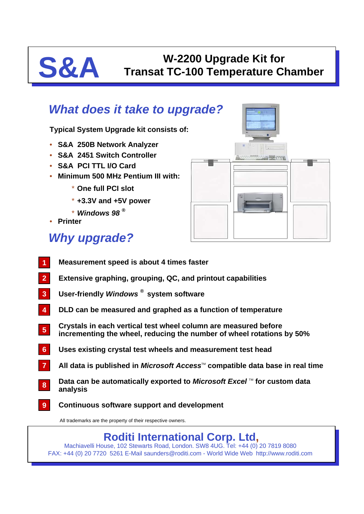# **S&A Transat TC-100 Temperature C Transat TC-100 Temperature Chamber**

### *What does it take to upgrade?*

**Typical System Upgrade kit consists of:**

- **S&A 250B Network Analyzer**
- **S&A 2451 Switch Controller**
- **S&A PCI TTL I/O Card**
- **Minimum 500 MHz Pentium III with:**
	- \* **One full PCI slot**
	- \* **+3.3V and +5V power**
	- \* *Windows 98 ®*
- **Printer**

## *Why upgrade?*

- **Measurement speed is about 4 times faster 1**
- **Extensive graphing, grouping, QC, and printout capabilities 2**
- **User-friendly** *Windows ®* **system software 3**
- **DLD can be measured and graphed as a function of temperature 4**
- **Crystals in each vertical test wheel column are measured before incrementing the wheel, reducing the number of wheel rotations by 50% 5**
- **Uses existing crystal test wheels and measurement test head 6**
- All data is published in *Microsoft Access*<sup>™</sup> compatible data base in real time **7**
- **Data can be automatically exported to** *Microsoft Excel* **™ for custom data analysis 8**
- **Continuous software support and development 9**

All trademarks are the property of their respective owners.

### **Roditi International Corp. Ltd,**

Machiavelli House, 102 Stewarts Road, London. SW8 4UG. Tel: +44 (0) 20 7819 8080 FAX: +44 (0) 20 7720 5261 E-Mail saunders@roditi.com - World Wide Web http://www.roditi.com